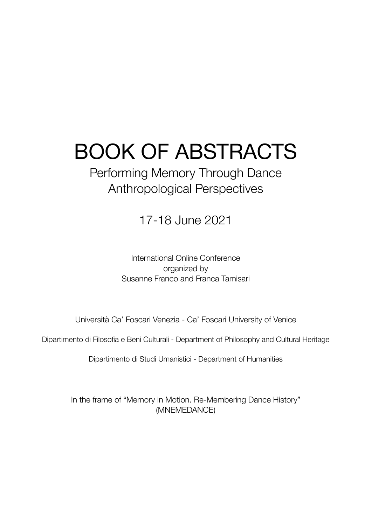# BOOK OF ABSTRACTS

### Performing Memory Through Dance Anthropological Perspectives

17-18 June 2021

International Online Conference organized by Susanne Franco and Franca Tamisari

Università Ca' Foscari Venezia - Ca' Foscari University of Venice

Dipartimento di Filosofia e Beni Culturali - Department of Philosophy and Cultural Heritage

Dipartimento di Studi Umanistici - Department of Humanities

In the frame of "Memory in Motion. Re-Membering Dance History" (MNEMEDANCE)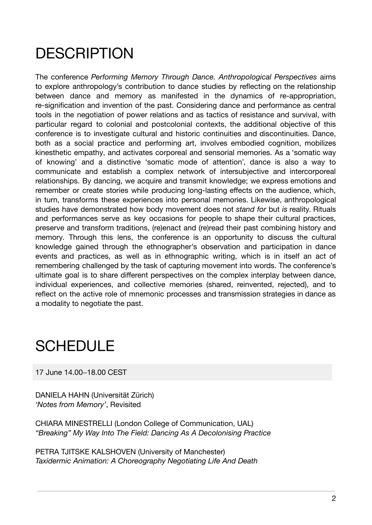## **DESCRIPTION**

The conference *Performing Memory Through Dance. Anthropological Perspectives* aims to explore anthropology's contribution to dance studies by reflecting on the relationship between dance and memory as manifested in the dynamics of re-appropriation, re-signification and invention of the past. Considering dance and performance as central tools in the negotiation of power relations and as tactics of resistance and survival, with particular regard to colonial and postcolonial contexts, the additional objective of this conference is to investigate cultural and historic continuities and discontinuities. Dance, both as a social practice and performing art, involves embodied cognition, mobilizes kinesthetic empathy, and activates corporeal and sensorial memories. As a 'somatic way of knowing' and a distinctive 'somatic mode of attention', dance is also a way to communicate and establish a complex network of intersubjective and intercorporeal relationships. By dancing, we acquire and transmit knowledge; we express emotions and remember or create stories while producing long-lasting effects on the audience, which, in turn, transforms these experiences into personal memories. Likewise, anthropological studies have demonstrated how body movement does not *stand for* but *is* reality. Rituals and performances serve as key occasions for people to shape their cultural practices, preserve and transform traditions, (re)enact and (re)read their past combining history and memory. Through this lens, the conference is an opportunity to discuss the cultural knowledge gained through the ethnographer's observation and participation in dance events and practices, as well as in ethnographic writing, which is in itself an act of remembering challenged by the task of capturing movement into words. The conference's ultimate goal is to share different perspectives on the complex interplay between dance, individual experiences, and collective memories (shared, reinvented, rejected), and to reflect on the active role of mnemonic processes and transmission strategies in dance as a modality to negotiate the past.

### **SCHEDULE**

17 June 14.00–18.00 CEST

DANIELA HAHN (Universität Zürich) *'Notes from Memory'*, Revisited

CHIARA MINESTRELLI (London College of Communication, UAL) *"Breaking" My Way Into The Field: Dancing As A Decolonising Practice*

PETRA TJITSKE KALSHOVEN (University of Manchester) *Taxidermic Animation: A Choreography Negotiating Life And Death*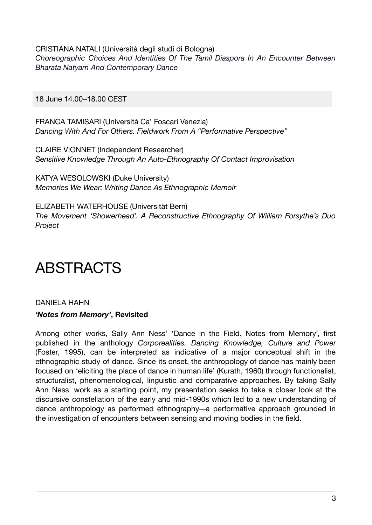CRISTIANA NATALI (Università degli studi di Bologna) *Choreographic Choices And Identities Of The Tamil Diaspora In An Encounter Between Bharata Natyam And Contemporary Dance*

18 June 14.00–18.00 CEST

FRANCA TAMISARI (Università Ca' Foscari Venezia) *Dancing With And For Others. Fieldwork From A "Performative Perspective"*

CLAIRE VIONNET (Independent Researcher) *Sensitive Knowledge Through An Auto-Ethnography Of Contact Improvisation*

KATYA WESOLOWSKI (Duke University) *Memories We Wear: Writing Dance As Ethnographic Memoir*

ELIZABETH WATERHOUSE (Universität Bern) *The Movement 'Showerhead'. A Reconstructive Ethnography Of William Forsythe's Duo Project*

### ABSTRACTS

#### DANIELA HAHN *'Notes from Memory'***, Revisited**

Among other works, Sally Ann Ness' 'Dance in the Field. Notes from Memory', first published in the anthology *Corporealities. Dancing Knowledge, Culture and Power* (Foster, 1995), can be interpreted as indicative of a major conceptual shift in the ethnographic study of dance. Since its onset, the anthropology of dance has mainly been focused on 'eliciting the place of dance in human life' (Kurath, 1960) through functionalist, structuralist, phenomenological, linguistic and comparative approaches. By taking Sally Ann Ness' work as a starting point, my presentation seeks to take a closer look at the discursive constellation of the early and mid-1990s which led to a new understanding of dance anthropology as performed ethnography—a performative approach grounded in the investigation of encounters between sensing and moving bodies in the field.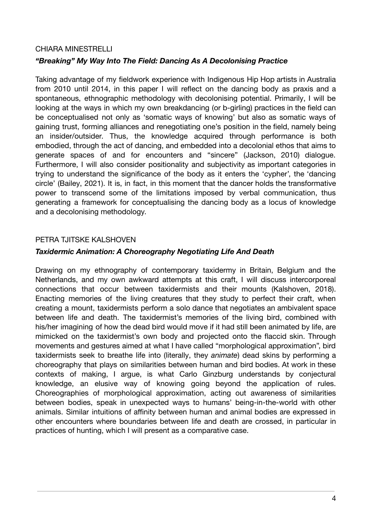#### CHIARA MINESTRELLI

#### *"Breaking" My Way Into The Field: Dancing As A Decolonising Practice*

Taking advantage of my fieldwork experience with Indigenous Hip Hop artists in Australia from 2010 until 2014, in this paper I will reflect on the dancing body as praxis and a spontaneous, ethnographic methodology with decolonising potential. Primarily, I will be looking at the ways in which my own breakdancing (or b-girling) practices in the field can be conceptualised not only as 'somatic ways of knowing' but also as somatic ways of gaining trust, forming alliances and renegotiating one's position in the field, namely being an insider/outsider. Thus, the knowledge acquired through performance is both embodied, through the act of dancing, and embedded into a decolonial ethos that aims to generate spaces of and for encounters and "sincere" (Jackson, 2010) dialogue. Furthermore, I will also consider positionality and subjectivity as important categories in trying to understand the significance of the body as it enters the 'cypher', the 'dancing circle' (Bailey, 2021). It is, in fact, in this moment that the dancer holds the transformative power to transcend some of the limitations imposed by verbal communication, thus generating a framework for conceptualising the dancing body as a locus of knowledge and a decolonising methodology.

#### PETRA TJITSKE KALSHOVEN

#### *Taxidermic Animation: A Choreography Negotiating Life And Death*

Drawing on my ethnography of contemporary taxidermy in Britain, Belgium and the Netherlands, and my own awkward attempts at this craft, I will discuss intercorporeal connections that occur between taxidermists and their mounts (Kalshoven, 2018). Enacting memories of the living creatures that they study to perfect their craft, when creating a mount, taxidermists perform a solo dance that negotiates an ambivalent space between life and death. The taxidermist's memories of the living bird, combined with his/her imagining of how the dead bird would move if it had still been animated by life, are mimicked on the taxidermist's own body and projected onto the flaccid skin. Through movements and gestures aimed at what I have called "morphological approximation", bird taxidermists seek to breathe life into (literally, they *animate*) dead skins by performing a choreography that plays on similarities between human and bird bodies. At work in these contexts of making, I argue, is what Carlo Ginzburg understands by conjectural knowledge, an elusive way of knowing going beyond the application of rules. Choreographies of morphological approximation, acting out awareness of similarities between bodies, speak in unexpected ways to humans' being-in-the-world with other animals. Similar intuitions of affinity between human and animal bodies are expressed in other encounters where boundaries between life and death are crossed, in particular in practices of hunting, which I will present as a comparative case.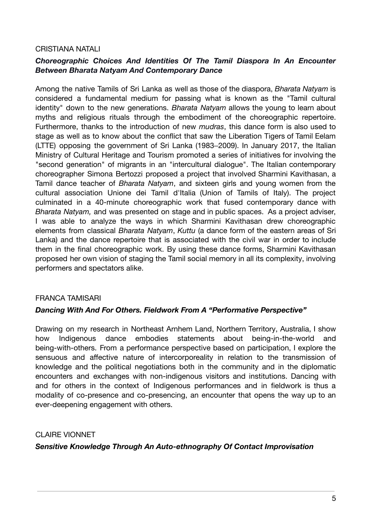#### CRISTIANA NATALI

#### *Choreographic Choices And Identities Of The Tamil Diaspora In An Encounter Between Bharata Natyam And Contemporary Dance*

Among the native Tamils of Sri Lanka as well as those of the diaspora, *Bharata Natyam* is considered a fundamental medium for passing what is known as the "Tamil cultural identity" down to the new generations. *Bharata Natyam* allows the young to learn about myths and religious rituals through the embodiment of the choreographic repertoire. Furthermore, thanks to the introduction of new *mudras*, this dance form is also used to stage as well as to know about the conflict that saw the Liberation Tigers of Tamil Eelam (LTTE) opposing the government of Sri Lanka (1983–2009). In January 2017, the Italian Ministry of Cultural Heritage and Tourism promoted a series of initiatives for involving the "second generation" of migrants in an "intercultural dialogue". The Italian contemporary choreographer Simona Bertozzi proposed a project that involved Sharmini Kavithasan, a Tamil dance teacher of *Bharata Natyam*, and sixteen girls and young women from the cultural association Unione dei Tamil d'Italia (Union of Tamils of Italy). The project culminated in a 40-minute choreographic work that fused contemporary dance with *Bharata Natyam,* and was presented on stage and in public spaces. As a project adviser, I was able to analyze the ways in which Sharmini Kavithasan drew choreographic elements from classical *Bharata Natyam*, *Kuttu* (a dance form of the eastern areas of Sri Lanka) and the dance repertoire that is associated with the civil war in order to include them in the final choreographic work. By using these dance forms, Sharmini Kavithasan proposed her own vision of staging the Tamil social memory in all its complexity, involving performers and spectators alike.

#### FRANCA TAMISARI

#### *Dancing With And For Others. Fieldwork From A "Performative Perspective"*

Drawing on my research in Northeast Arnhem Land, Northern Territory, Australia, I show how Indigenous dance embodies statements about being-in-the-world and being-with-others. From a performance perspective based on participation, I explore the sensuous and affective nature of intercorporeality in relation to the transmission of knowledge and the political negotiations both in the community and in the diplomatic encounters and exchanges with non-indigenous visitors and institutions. Dancing with and for others in the context of Indigenous performances and in fieldwork is thus a modality of co-presence and co-presencing, an encounter that opens the way up to an ever-deepening engagement with others.

CLAIRE VIONNET

#### *Sensitive Knowledge Through An Auto-ethnography Of Contact Improvisation*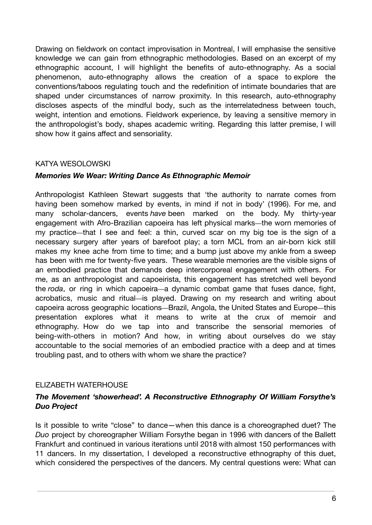Drawing on fieldwork on contact improvisation in Montreal, I will emphasise the sensitive knowledge we can gain from ethnographic methodologies. Based on an excerpt of my ethnographic account, I will highlight the benefits of auto-ethnography. As a social phenomenon, auto-ethnography allows the creation of a space to explore the conventions/taboos regulating touch and the redefinition of intimate boundaries that are shaped under circumstances of narrow proximity. In this research, auto-ethnography discloses aspects of the mindful body, such as the interrelatedness between touch, weight, intention and emotions. Fieldwork experience, by leaving a sensitive memory in the anthropologist's body, shapes academic writing. Regarding this latter premise, I will show how it gains affect and sensoriality.

#### KATYA WESOLOWSKI

#### *Memories We Wear: Writing Dance As Ethnographic Memoir*

Anthropologist Kathleen Stewart suggests that 'the authority to narrate comes from having been somehow marked by events, in mind if not in body' (1996). For me, and many scholar-dancers, events *have* been marked on the body. My thirty-year engagement with Afro-Brazilian capoeira has left physical marks—the worn memories of my practice—that I see and feel: a thin, curved scar on my big toe is the sign of a necessary surgery after years of barefoot play; a torn MCL from an air-born kick still makes my knee ache from time to time; and a bump just above my ankle from a sweep has been with me for twenty-five years. These wearable memories are the visible signs of an embodied practice that demands deep intercorporeal engagement with others. For me, as an anthropologist and capoeirista, this engagement has stretched well beyond the *roda*, or ring in which capoeira—a dynamic combat game that fuses dance, fight, acrobatics, music and ritual—is played. Drawing on my research and writing about capoeira across geographic locations—Brazil, Angola, the United States and Europe—this presentation explores what it means to write at the crux of memoir and ethnography. How do we tap into and transcribe the sensorial memories of being-with-others in motion? And how, in writing about ourselves do we stay accountable to the social memories of an embodied practice with a deep and at times troubling past, and to others with whom we share the practice?

#### ELIZABETH WATERHOUSE

#### *The Movement 'showerhead'. A Reconstructive Ethnography Of William Forsythe's Duo Project*

Is it possible to write "close" to dance—when this dance is a choreographed duet? The *Duo* project by choreographer William Forsythe began in 1996 with dancers of the Ballett Frankfurt and continued in various iterations until 2018 with almost 150 performances with 11 dancers. In my dissertation, I developed a reconstructive ethnography of this duet, which considered the perspectives of the dancers. My central questions were: What can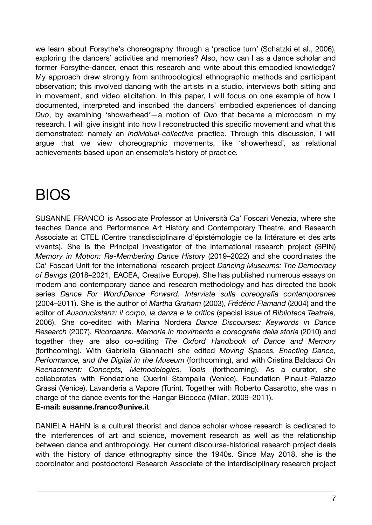we learn about Forsythe's choreography through a 'practice turn' (Schatzki et al., 2006), exploring the dancers' activities and memories? Also, how can I as a dance scholar and former Forsythe-dancer, enact this research and write about this embodied knowledge? My approach drew strongly from anthropological ethnographic methods and participant observation; this involved dancing with the artists in a studio, interviews both sitting and in movement, and video elicitation. In this paper, I will focus on one example of how I documented, interpreted and inscribed the dancers' embodied experiences of dancing *Duo*, by examining 'showerhead*'*—a motion of *Duo* that became a microcosm in my research. I will give insight into how I reconstructed this specific movement and what this demonstrated: namely an *individual-collective* practice. Through this discussion, I will argue that we view choreographic movements, like 'showerhead', as relational achievements based upon an ensemble's history of practice*.*

## BIOS

SUSANNE FRANCO is Associate Professor at Università Ca' Foscari Venezia, where she teaches Dance and Performance Art History and Contemporary Theatre, and Research Associate at CTEL (Centre transdisciplinaire d'épistémologie de la littérature et des arts vivants). She is the Principal Investigator of the international research project (SPIN) *Memory in Motion: Re-Membering Dance History* (2019–2022) and she coordinates the Ca' Foscari Unit for the international research project *Dancing Museums: The Democracy of Beings* (2018–2021, EACEA, Creative Europe). She has published numerous essays on modern and contemporary dance and research methodology and has directed the book series *Dance For Word\Dance Forward. Interviste sulla coreografia contemporanea* (2004–2011). She is the author of *Martha Graham* (2003), *Frédéric Flamand* (2004) and the editor of *Ausdruckstanz: il corpo, la danza e la critica* (special issue of *Biblioteca Teatrale,* 2006). She co-edited with Marina Nordera *Dance Discourses: Keywords in Dance Research* (2007), *Ricordanze. Memoria in movimento e coreografie della storia* (2010) and together they are also co-editing *The Oxford Handbook of Dance and Memory* (forthcoming). With Gabriella Giannachi she edited *Moving Spaces. Enacting Dance, Performance, and the Digital in the Museum* (forthcoming), and with Cristina Baldacci *On Reenactment: Concepts, Methodologies, Tools* (forthcoming). As a curator, she collaborates with Fondazione Querini Stampalia (Venice), Foundation Pinault-Palazzo Grassi (Venice), Lavanderia a Vapore (Turin). Together with Roberto Casarotto, she was in charge of the dance events for the Hangar Bicocca (Milan, 2009–2011).

#### **E-mail: susanne.franco@unive.it**

DANIELA HAHN is a cultural theorist and dance scholar whose research is dedicated to the interferences of art and science, movement research as well as the relationship between dance and anthropology. Her current discourse-historical research project deals with the history of dance ethnography since the 1940s. Since May 2018, she is the coordinator and postdoctoral Research Associate of the interdisciplinary research project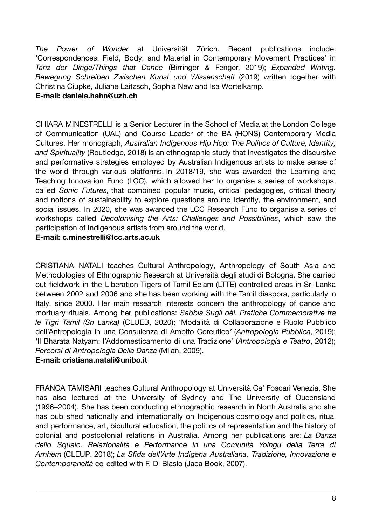*The Power of Wonder* at Universität Zürich. Recent publications include: 'Correspondences. Field, Body, and Material in Contemporary Movement Practices' in *Tanz der Dinge/Things that Dance* (Birringer & Fenger, 2019); *Expanded Writing. Bewegung Schreiben Zwischen Kunst und Wissenschaft* (2019) written together with Christina Ciupke, Juliane Laitzsch, Sophia New and Isa Wortelkamp.

#### **E-mail: [daniela.hahn@uzh.ch](mailto:daniela.hahn@ds.uzh.ch)**

CHIARA MINESTRELLI is a Senior Lecturer in the School of Media at the London College of Communication (UAL) and Course Leader of the BA (HONS) Contemporary Media Cultures. Her monograph, *Australian Indigenous Hip Hop: The Politics of Culture, Identity, and Spirituality* (Routledge, 2018) is an ethnographic study that investigates the discursive and performative strategies employed by Australian Indigenous artists to make sense of the world through various platforms. In 2018/19, she was awarded the Learning and Teaching Innovation Fund (LCC), which allowed her to organise a series of workshops, called *Sonic Futures,* that combined popular music, critical pedagogies, critical theory and notions of sustainability to explore questions around identity, the environment, and social issues. In 2020, she was awarded the LCC Research Fund to organise a series of workshops called *Decolonising the Arts: Challenges and Possibilities*, which saw the participation of Indigenous artists from around the world.

#### **E-mail: [c.minestrelli@lcc.arts.ac.uk](mailto:c.minestrelli@lcc.arts.ac.uk)**

CRISTIANA NATALI teaches Cultural Anthropology, Anthropology of South Asia and Methodologies of Ethnographic Research at Università degli studi di Bologna. She carried out fieldwork in the Liberation Tigers of Tamil Eelam (LTTE) controlled areas in Sri Lanka between 2002 and 2006 and she has been working with the Tamil diaspora, particularly in Italy, since 2000. Her main research interests concern the anthropology of dance and mortuary rituals. Among her publications: *Sabbia Sugli dèi. Pratiche Commemorative tra le Tigri Tamil (Sri Lanka)* (CLUEB, 2020); 'Modalità di Collaborazione e Ruolo Pubblico dell'Antropologia in una Consulenza di Ambito Coreutico*'* (*Antropologia Pubblica*, 2019); 'Il Bharata Natyam: l'Addomesticamento di una Tradizione*'* (*Antropologia e Teatro*, 2012); *Percorsi di Antropologia Della Danza* (Milan, 2009).

#### **E-mail: cristiana.natali@unibo.it**

FRANCA TAMISARI teaches Cultural Anthropology at Università Ca' Foscari Venezia. She has also lectured at the University of Sydney and The University of Queensland (1996–2004). She has been conducting ethnographic research in North Australia and she has published nationally and internationally on Indigenous cosmology and politics, ritual and performance, art, bicultural education, the politics of representation and the history of colonial and postcolonial relations in Australia. Among her publications are: *La Danza dello Squalo. Relazionalità e Performance in una Comunità Yolngu della Terra di Arnhem* (CLEUP, 2018); *La Sfida dell'Arte Indigena Australiana. Tradizione, Innovazione e Contemporaneità* co-edited with F. Di Blasio (Jaca Book, 2007).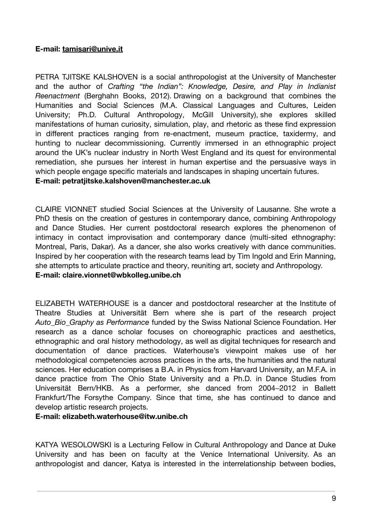#### **E-mail: [tamisari@unive.it](mailto:tamisari@unive.it)**

PETRA TJITSKE KALSHOVEN is a social anthropologist at the University of Manchester and the author of *Crafting "the Indian": [Knowledge,](http://www.berghahnbooks.com/title/KalshovenCrafting) Desire, and Play in Indianist [Reenactment](http://www.berghahnbooks.com/title/KalshovenCrafting)* (Berghahn Books, 2012). Drawing on a background that combines the Humanities and Social Sciences (M.A. Classical Languages and Cultures, Leiden University; Ph.D. Cultural Anthropology, McGill University), she explores skilled manifestations of human curiosity, simulation, play, and rhetoric as these find expression in different practices ranging from re-enactment, museum practice, taxidermy, and hunting to nuclear decommissioning. Currently immersed in an ethnographic project around the UK's nuclear industry in North West England and its quest for environmental remediation, she pursues her interest in human expertise and the persuasive ways in which people engage specific materials and landscapes in shaping uncertain futures.

#### **E-mail: [petratjitske.kalshoven@manchester.ac.uk](mailto:petratjitske.kalshoven@manchester.ac.uk)**

CLAIRE VIONNET studied Social Sciences at the University of Lausanne. She wrote a PhD thesis on the creation of gestures in contemporary dance, combining Anthropology and Dance Studies. Her current postdoctoral research explores the phenomenon of intimacy in contact improvisation and contemporary dance (multi-sited ethnography: Montreal, Paris, Dakar). As a dancer, she also works creatively with dance communities. Inspired by her cooperation with the research teams lead by Tim Ingold and Erin Manning, she attempts to articulate practice and theory, reuniting art, society and Anthropology. **E-mail: [claire.vionnet@wbkolleg.unibe.ch](mailto:claire.vionnet@wbkolleg.unibe.ch)**

ELIZABETH WATERHOUSE is a dancer and postdoctoral researcher at the Institute of Theatre Studies at Universität Bern where she is part of the research project *Auto\_Bio\_Graphy as Performance* funded by the Swiss National Science Foundation. Her research as a dance scholar focuses on choreographic practices and aesthetics, ethnographic and oral history methodology, as well as digital techniques for research and documentation of dance practices. Waterhouse's viewpoint makes use of her methodological competencies across practices in the arts, the humanities and the natural sciences. Her education comprises a B.A. in Physics from Harvard University, an M.F.A. in dance practice from The Ohio State University and a Ph.D. in Dance Studies from Universität Bern/HKB. As a performer, she danced from 2004–2012 in Ballett Frankfurt/The Forsythe Company. Since that time, she has continued to dance and develop artistic research projects.

#### **E-mail: elizabeth.waterhouse@itw.unibe.ch**

KATYA WESOLOWSKI is a Lecturing Fellow in Cultural Anthropology and Dance at Duke University and has been on faculty at the Venice International University. As an anthropologist and dancer, Katya is interested in the interrelationship between bodies,